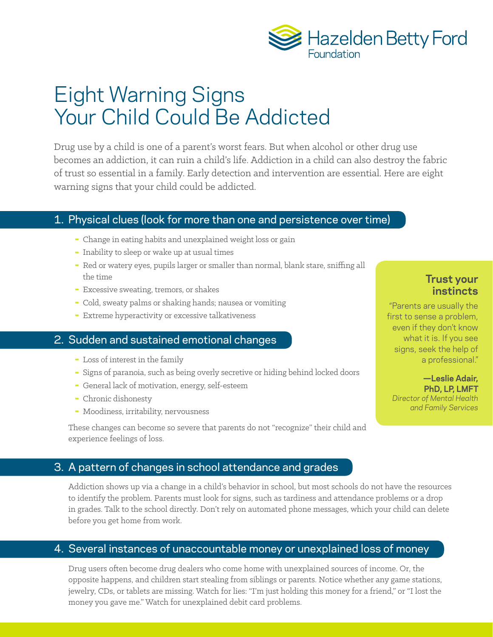

# Eight Warning Signs Your Child Could Be Addicted

Drug use by a child is one of a parent's worst fears. But when alcohol or other drug use becomes an addiction, it can ruin a child's life. Addiction in a child can also destroy the fabric of trust so essential in a family. Early detection and intervention are essential. Here are eight warning signs that your child could be addicted.

### 1. Physical clues (look for more than one and persistence over time)

- Change in eating habits and unexplained weight loss or gain
- ▀ Inability to sleep or wake up at usual times
- Red or watery eyes, pupils larger or smaller than normal, blank stare, sniffing all the time
- ▀ Excessive sweating, tremors, or shakes
- ▀ Cold, sweaty palms or shaking hands; nausea or vomiting
- ▀ Extreme hyperactivity or excessive talkativeness

### 2. Sudden and sustained emotional changes

- ▀ Loss of interest in the family
- ▀ Signs of paranoia, such as being overly secretive or hiding behind locked doors
- ▀ General lack of motivation, energy, self-esteem
- Chronic dishonesty
- ▀ Moodiness, irritability, nervousness

These changes can become so severe that parents do not "recognize" their child and experience feelings of loss.

### 3. A pattern of changes in school attendance and grades

Addiction shows up via a change in a child's behavior in school, but most schools do not have the resources to identify the problem. Parents must look for signs, such as tardiness and attendance problems or a drop in grades. Talk to the school directly. Don't rely on automated phone messages, which your child can delete before you get home from work.

### 4. Several instances of unaccountable money or unexplained loss of money

Drug users often become drug dealers who come home with unexplained sources of income. Or, the opposite happens, and children start stealing from siblings or parents. Notice whether any game stations, jewelry, CDs, or tablets are missing. Watch for lies: "I'm just holding this money for a friend," or "I lost the money you gave me." Watch for unexplained debit card problems.

### **Trust your instincts**

"Parents are usually the first to sense a problem, even if they don't know what it is. If you see signs, seek the help of a professional."

**—Leslie Adair, PhD, LP, LMFT** *Director of Mental Health and Family Services*